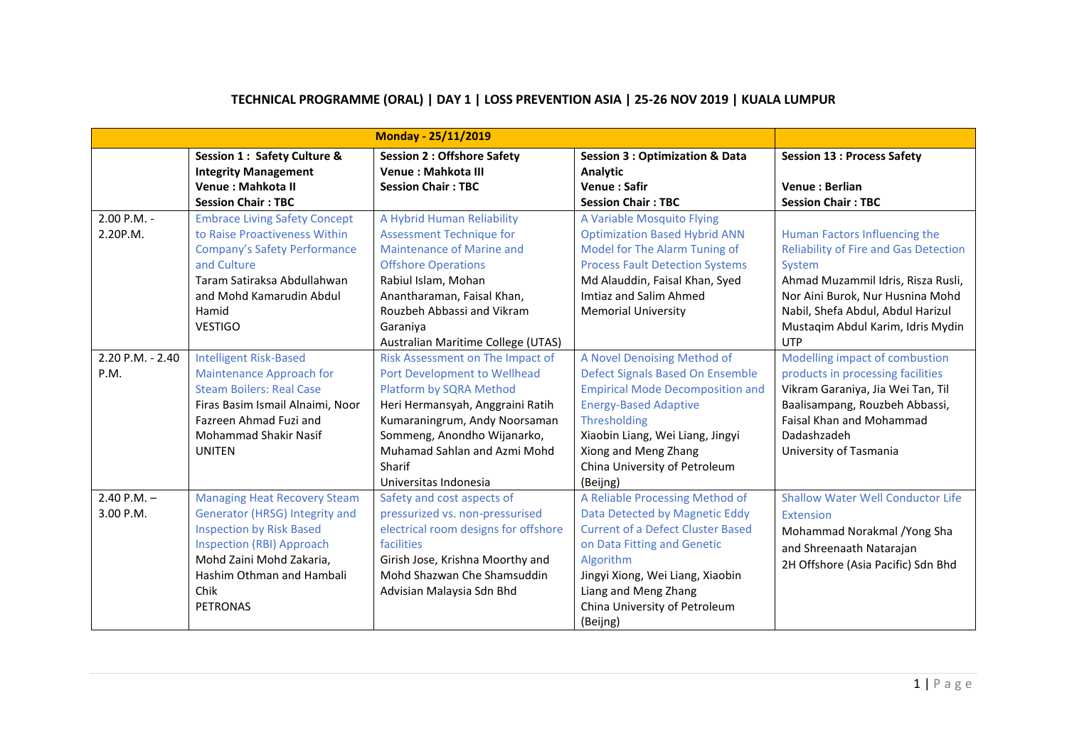|                              |                                                                                                                                                                                                                                  | <b>Monday - 25/11/2019</b>                                                                                                                                                                                                                                         |                                                                                                                                                                                                                                                                            |                                                                                                                                                                                                                                                           |
|------------------------------|----------------------------------------------------------------------------------------------------------------------------------------------------------------------------------------------------------------------------------|--------------------------------------------------------------------------------------------------------------------------------------------------------------------------------------------------------------------------------------------------------------------|----------------------------------------------------------------------------------------------------------------------------------------------------------------------------------------------------------------------------------------------------------------------------|-----------------------------------------------------------------------------------------------------------------------------------------------------------------------------------------------------------------------------------------------------------|
|                              | Session 1: Safety Culture &<br><b>Integrity Management</b><br>Venue: Mahkota II<br><b>Session Chair: TBC</b>                                                                                                                     | <b>Session 2: Offshore Safety</b><br>Venue : Mahkota III<br><b>Session Chair: TBC</b>                                                                                                                                                                              | <b>Session 3: Optimization &amp; Data</b><br>Analytic<br><b>Venue: Safir</b><br><b>Session Chair: TBC</b>                                                                                                                                                                  | <b>Session 13: Process Safety</b><br><b>Venue: Berlian</b><br><b>Session Chair: TBC</b>                                                                                                                                                                   |
| 2.00 P.M. -<br>2.20P.M.      | <b>Embrace Living Safety Concept</b><br>to Raise Proactiveness Within<br>Company's Safety Performance<br>and Culture<br>Taram Satiraksa Abdullahwan<br>and Mohd Kamarudin Abdul<br>Hamid<br><b>VESTIGO</b>                       | A Hybrid Human Reliability<br><b>Assessment Technique for</b><br>Maintenance of Marine and<br><b>Offshore Operations</b><br>Rabiul Islam, Mohan<br>Anantharaman, Faisal Khan,<br>Rouzbeh Abbassi and Vikram<br>Garaniya<br>Australian Maritime College (UTAS)      | A Variable Mosquito Flying<br><b>Optimization Based Hybrid ANN</b><br>Model for The Alarm Tuning of<br><b>Process Fault Detection Systems</b><br>Md Alauddin, Faisal Khan, Syed<br>Imtiaz and Salim Ahmed<br><b>Memorial University</b>                                    | Human Factors Influencing the<br><b>Reliability of Fire and Gas Detection</b><br>System<br>Ahmad Muzammil Idris, Risza Rusli,<br>Nor Aini Burok, Nur Husnina Mohd<br>Nabil, Shefa Abdul, Abdul Harizul<br>Mustaqim Abdul Karim, Idris Mydin<br><b>UTP</b> |
| 2.20 P.M. - 2.40<br>P.M.     | <b>Intelligent Risk-Based</b><br><b>Maintenance Approach for</b><br><b>Steam Boilers: Real Case</b><br>Firas Basim Ismail Alnaimi, Noor<br>Fazreen Ahmad Fuzi and<br><b>Mohammad Shakir Nasif</b><br><b>UNITEN</b>               | Risk Assessment on The Impact of<br>Port Development to Wellhead<br>Platform by SQRA Method<br>Heri Hermansyah, Anggraini Ratih<br>Kumaraningrum, Andy Noorsaman<br>Sommeng, Anondho Wijanarko,<br>Muhamad Sahlan and Azmi Mohd<br>Sharif<br>Universitas Indonesia | A Novel Denoising Method of<br>Defect Signals Based On Ensemble<br><b>Empirical Mode Decomposition and</b><br><b>Energy-Based Adaptive</b><br><b>Thresholding</b><br>Xiaobin Liang, Wei Liang, Jingyi<br>Xiong and Meng Zhang<br>China University of Petroleum<br>(Beijng) | Modelling impact of combustion<br>products in processing facilities<br>Vikram Garaniya, Jia Wei Tan, Til<br>Baalisampang, Rouzbeh Abbassi,<br>Faisal Khan and Mohammad<br>Dadashzadeh<br>University of Tasmania                                           |
| $2.40$ P.M. $-$<br>3.00 P.M. | <b>Managing Heat Recovery Steam</b><br>Generator (HRSG) Integrity and<br><b>Inspection by Risk Based</b><br><b>Inspection (RBI) Approach</b><br>Mohd Zaini Mohd Zakaria,<br>Hashim Othman and Hambali<br>Chik<br><b>PETRONAS</b> | Safety and cost aspects of<br>pressurized vs. non-pressurised<br>electrical room designs for offshore<br>facilities<br>Girish Jose, Krishna Moorthy and<br>Mohd Shazwan Che Shamsuddin<br>Advisian Malaysia Sdn Bhd                                                | A Reliable Processing Method of<br>Data Detected by Magnetic Eddy<br><b>Current of a Defect Cluster Based</b><br>on Data Fitting and Genetic<br>Algorithm<br>Jingyi Xiong, Wei Liang, Xiaobin<br>Liang and Meng Zhang<br>China University of Petroleum<br>(Beijng)         | <b>Shallow Water Well Conductor Life</b><br>Extension<br>Mohammad Norakmal / Yong Sha<br>and Shreenaath Natarajan<br>2H Offshore (Asia Pacific) Sdn Bhd                                                                                                   |

# **TECHNICAL PROGRAMME (ORAL) | DAY 1 | LOSS PREVENTION ASIA | 25-26 NOV 2019 | KUALA LUMPUR**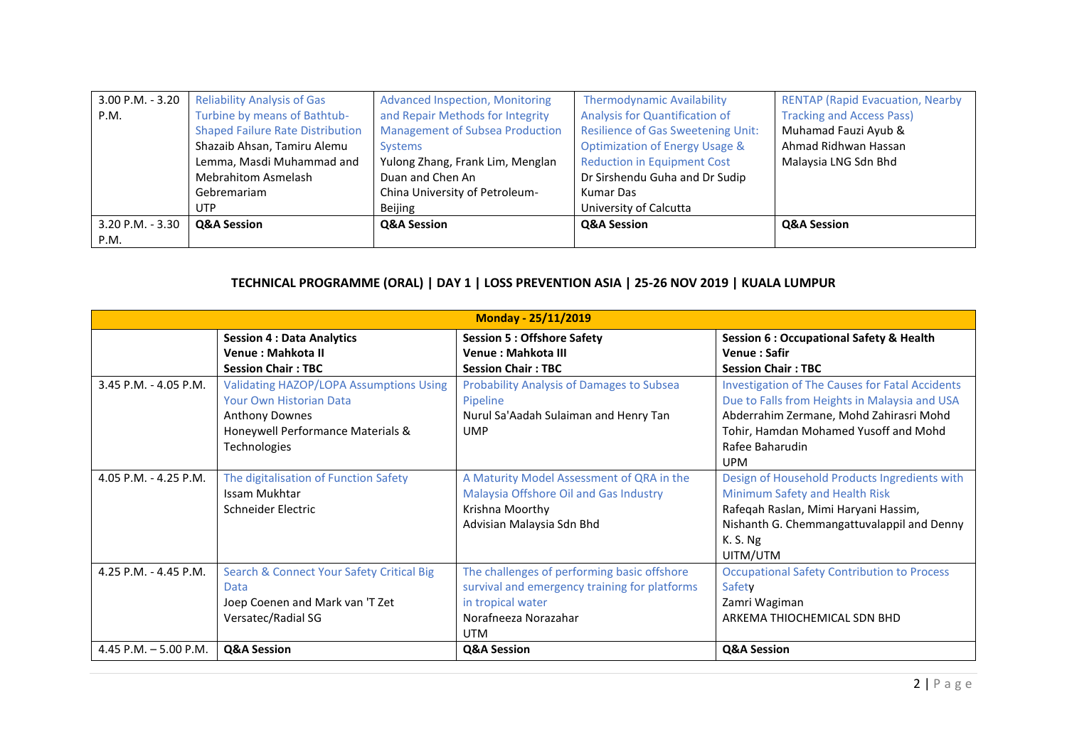| 3.00 P.M. - 3.20     | <b>Reliability Analysis of Gas</b>      | <b>Advanced Inspection, Monitoring</b> | <b>Thermodynamic Availability</b>         | <b>RENTAP (Rapid Evacuation, Nearby</b> |
|----------------------|-----------------------------------------|----------------------------------------|-------------------------------------------|-----------------------------------------|
| P.M.                 | Turbine by means of Bathtub-            | and Repair Methods for Integrity       | Analysis for Quantification of            | <b>Tracking and Access Pass)</b>        |
|                      | <b>Shaped Failure Rate Distribution</b> | <b>Management of Subsea Production</b> | <b>Resilience of Gas Sweetening Unit:</b> | Muhamad Fauzi Ayub &                    |
|                      | Shazaib Ahsan, Tamiru Alemu             | <b>Systems</b>                         | <b>Optimization of Energy Usage &amp;</b> | Ahmad Ridhwan Hassan                    |
|                      | Lemma, Masdi Muhammad and               | Yulong Zhang, Frank Lim, Menglan       | <b>Reduction in Equipment Cost</b>        | Malaysia LNG Sdn Bhd                    |
|                      | <b>Mebrahitom Asmelash</b>              | Duan and Chen An                       | Dr Sirshendu Guha and Dr Sudip            |                                         |
|                      | Gebremariam                             | China University of Petroleum-         | Kumar Das                                 |                                         |
|                      | <b>UTP</b>                              | Beijing                                | University of Calcutta                    |                                         |
| $3.20$ P.M. - $3.30$ | Q&A Session                             | <b>Q&amp;A Session</b>                 | <b>Q&amp;A Session</b>                    | <b>Q&amp;A Session</b>                  |
| P.M.                 |                                         |                                        |                                           |                                         |

#### **TECHNICAL PROGRAMME (ORAL) | DAY 1 | LOSS PREVENTION ASIA | 25-26 NOV 2019 | KUALA LUMPUR**

|                         |                                                | <b>Monday - 25/11/2019</b>                       |                                                        |
|-------------------------|------------------------------------------------|--------------------------------------------------|--------------------------------------------------------|
|                         | <b>Session 4: Data Analytics</b>               | <b>Session 5: Offshore Safety</b>                | <b>Session 6: Occupational Safety &amp; Health</b>     |
|                         | Venue: Mahkota II                              | <b>Venue: Mahkota III</b>                        | <b>Venue: Safir</b>                                    |
|                         | <b>Session Chair: TBC</b>                      | <b>Session Chair: TBC</b>                        | <b>Session Chair: TBC</b>                              |
| $3.45$ P.M. - 4.05 P.M. | <b>Validating HAZOP/LOPA Assumptions Using</b> | <b>Probability Analysis of Damages to Subsea</b> | <b>Investigation of The Causes for Fatal Accidents</b> |
|                         | Your Own Historian Data                        | Pipeline                                         | Due to Falls from Heights in Malaysia and USA          |
|                         | <b>Anthony Downes</b>                          | Nurul Sa'Aadah Sulaiman and Henry Tan            | Abderrahim Zermane, Mohd Zahirasri Mohd                |
|                         | Honeywell Performance Materials &              | <b>UMP</b>                                       | Tohir, Hamdan Mohamed Yusoff and Mohd                  |
|                         | Technologies                                   |                                                  | Rafee Baharudin                                        |
|                         |                                                |                                                  | <b>UPM</b>                                             |
| 4.05 P.M. - 4.25 P.M.   | The digitalisation of Function Safety          | A Maturity Model Assessment of QRA in the        | Design of Household Products Ingredients with          |
|                         | Issam Mukhtar                                  | Malaysia Offshore Oil and Gas Industry           | Minimum Safety and Health Risk                         |
|                         | Schneider Electric                             | Krishna Moorthy                                  | Rafeqah Raslan, Mimi Haryani Hassim,                   |
|                         |                                                | Advisian Malaysia Sdn Bhd                        | Nishanth G. Chemmangattuvalappil and Denny             |
|                         |                                                |                                                  | K. S. Ng                                               |
|                         |                                                |                                                  | UITM/UTM                                               |
| 4.25 P.M. - 4.45 P.M.   | Search & Connect Your Safety Critical Big      | The challenges of performing basic offshore      | <b>Occupational Safety Contribution to Process</b>     |
|                         | Data                                           | survival and emergency training for platforms    | Safety                                                 |
|                         | Joep Coenen and Mark van 'T Zet                | in tropical water                                | Zamri Wagiman                                          |
|                         | Versatec/Radial SG                             | Norafneeza Norazahar                             | ARKEMA THIOCHEMICAL SDN BHD                            |
|                         |                                                | <b>UTM</b>                                       |                                                        |
| 4.45 P.M. $-5.00$ P.M.  | <b>Q&amp;A Session</b>                         | <b>Q&amp;A Session</b>                           | <b>Q&amp;A Session</b>                                 |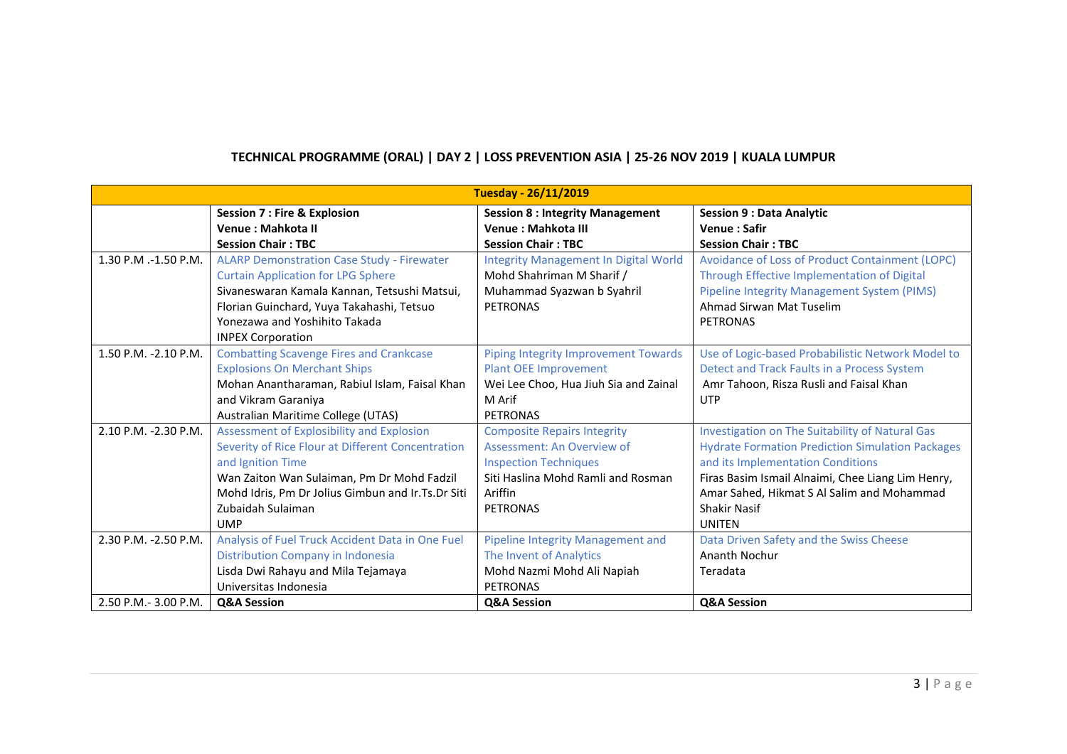|                       |                                                   | <b>Tuesday - 26/11/2019</b>                  |                                                         |
|-----------------------|---------------------------------------------------|----------------------------------------------|---------------------------------------------------------|
|                       | <b>Session 7: Fire &amp; Explosion</b>            | <b>Session 8: Integrity Management</b>       | <b>Session 9 : Data Analytic</b>                        |
|                       | Venue: Mahkota II                                 | Venue: Mahkota III                           | <b>Venue: Safir</b>                                     |
|                       | <b>Session Chair: TBC</b>                         | <b>Session Chair: TBC</b>                    | <b>Session Chair: TBC</b>                               |
| 1.30 P.M .-1.50 P.M.  | <b>ALARP Demonstration Case Study - Firewater</b> | <b>Integrity Management In Digital World</b> | Avoidance of Loss of Product Containment (LOPC)         |
|                       | <b>Curtain Application for LPG Sphere</b>         | Mohd Shahriman M Sharif /                    | Through Effective Implementation of Digital             |
|                       | Sivaneswaran Kamala Kannan, Tetsushi Matsui,      | Muhammad Syazwan b Syahril                   | Pipeline Integrity Management System (PIMS)             |
|                       | Florian Guinchard, Yuya Takahashi, Tetsuo         | <b>PETRONAS</b>                              | Ahmad Sirwan Mat Tuselim                                |
|                       | Yonezawa and Yoshihito Takada                     |                                              | <b>PETRONAS</b>                                         |
|                       | <b>INPEX Corporation</b>                          |                                              |                                                         |
| 1.50 P.M. -2.10 P.M.  | <b>Combatting Scavenge Fires and Crankcase</b>    | Piping Integrity Improvement Towards         | Use of Logic-based Probabilistic Network Model to       |
|                       | <b>Explosions On Merchant Ships</b>               | <b>Plant OEE Improvement</b>                 | Detect and Track Faults in a Process System             |
|                       | Mohan Anantharaman, Rabiul Islam, Faisal Khan     | Wei Lee Choo, Hua Jiuh Sia and Zainal        | Amr Tahoon, Risza Rusli and Faisal Khan                 |
|                       | and Vikram Garaniya                               | M Arif                                       | <b>UTP</b>                                              |
|                       | Australian Maritime College (UTAS)                | <b>PETRONAS</b>                              |                                                         |
| 2.10 P.M. -2.30 P.M.  | Assessment of Explosibility and Explosion         | <b>Composite Repairs Integrity</b>           | Investigation on The Suitability of Natural Gas         |
|                       | Severity of Rice Flour at Different Concentration | Assessment: An Overview of                   | <b>Hydrate Formation Prediction Simulation Packages</b> |
|                       | and Ignition Time                                 | <b>Inspection Techniques</b>                 | and its Implementation Conditions                       |
|                       | Wan Zaiton Wan Sulaiman, Pm Dr Mohd Fadzil        | Siti Haslina Mohd Ramli and Rosman           | Firas Basim Ismail Alnaimi, Chee Liang Lim Henry,       |
|                       | Mohd Idris, Pm Dr Jolius Gimbun and Ir.Ts.Dr Siti | Ariffin                                      | Amar Sahed, Hikmat S Al Salim and Mohammad              |
|                       | Zubaidah Sulaiman                                 | <b>PETRONAS</b>                              | <b>Shakir Nasif</b>                                     |
|                       | <b>UMP</b>                                        |                                              | <b>UNITEN</b>                                           |
| 2.30 P.M. - 2.50 P.M. | Analysis of Fuel Truck Accident Data in One Fuel  | Pipeline Integrity Management and            | Data Driven Safety and the Swiss Cheese                 |
|                       | Distribution Company in Indonesia                 | The Invent of Analytics                      | Ananth Nochur                                           |
|                       | Lisda Dwi Rahayu and Mila Tejamaya                | Mohd Nazmi Mohd Ali Napiah                   | Teradata                                                |
|                       | Universitas Indonesia                             | <b>PETRONAS</b>                              |                                                         |
| 2.50 P.M.- 3.00 P.M.  | <b>Q&amp;A Session</b>                            | <b>Q&amp;A Session</b>                       | <b>Q&amp;A Session</b>                                  |

# **TECHNICAL PROGRAMME (ORAL) | DAY 2 | LOSS PREVENTION ASIA | 25-26 NOV 2019 | KUALA LUMPUR**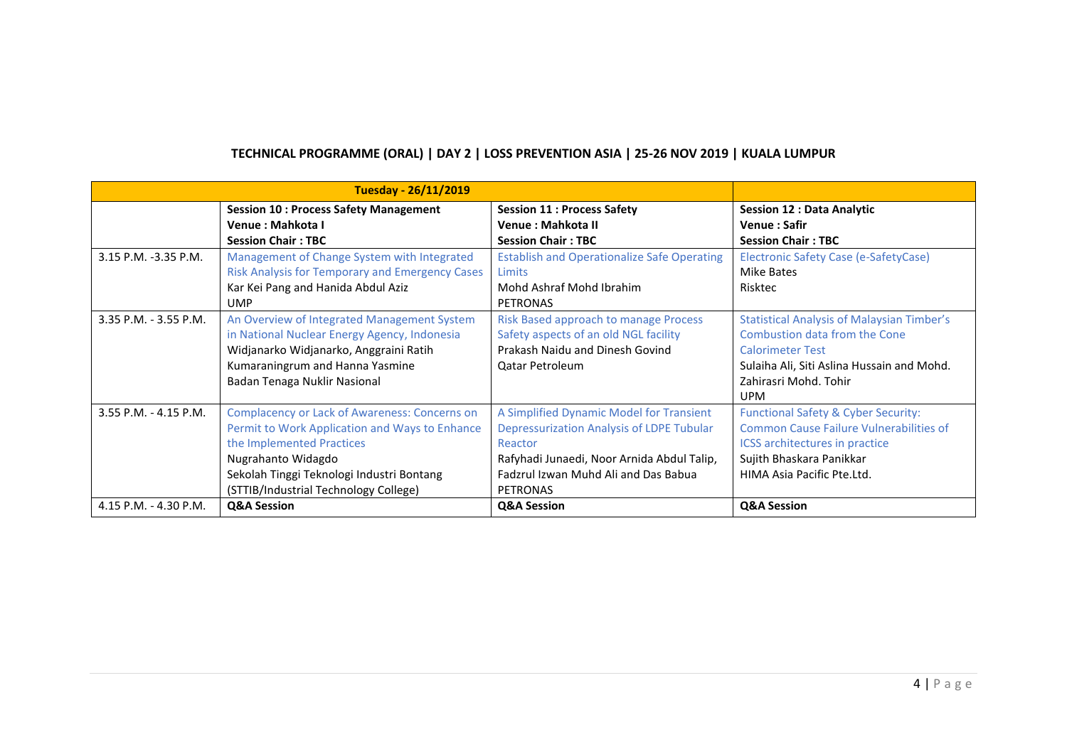|                         | <b>Tuesday - 26/11/2019</b>                                                                                                                                                                                                              |                                                                                                                                                                                                           |                                                                                                                                                                                                    |
|-------------------------|------------------------------------------------------------------------------------------------------------------------------------------------------------------------------------------------------------------------------------------|-----------------------------------------------------------------------------------------------------------------------------------------------------------------------------------------------------------|----------------------------------------------------------------------------------------------------------------------------------------------------------------------------------------------------|
|                         | <b>Session 10: Process Safety Management</b>                                                                                                                                                                                             | <b>Session 11: Process Safety</b>                                                                                                                                                                         | <b>Session 12 : Data Analytic</b>                                                                                                                                                                  |
|                         | Venue: Mahkota I                                                                                                                                                                                                                         | Venue: Mahkota II                                                                                                                                                                                         | Venue: Safir                                                                                                                                                                                       |
|                         | <b>Session Chair: TBC</b>                                                                                                                                                                                                                | <b>Session Chair: TBC</b>                                                                                                                                                                                 | <b>Session Chair: TBC</b>                                                                                                                                                                          |
| 3.15 P.M. -3.35 P.M.    | Management of Change System with Integrated                                                                                                                                                                                              | <b>Establish and Operationalize Safe Operating</b>                                                                                                                                                        | Electronic Safety Case (e-SafetyCase)                                                                                                                                                              |
|                         | <b>Risk Analysis for Temporary and Emergency Cases</b>                                                                                                                                                                                   | <b>Limits</b>                                                                                                                                                                                             | Mike Bates                                                                                                                                                                                         |
|                         | Kar Kei Pang and Hanida Abdul Aziz<br><b>UMP</b>                                                                                                                                                                                         | Mohd Ashraf Mohd Ibrahim<br><b>PETRONAS</b>                                                                                                                                                               | Risktec                                                                                                                                                                                            |
| 3.35 P.M. - 3.55 P.M.   | An Overview of Integrated Management System<br>in National Nuclear Energy Agency, Indonesia<br>Widjanarko Widjanarko, Anggraini Ratih<br>Kumaraningrum and Hanna Yasmine<br>Badan Tenaga Nuklir Nasional                                 | Risk Based approach to manage Process<br>Safety aspects of an old NGL facility<br>Prakash Naidu and Dinesh Govind<br><b>Qatar Petroleum</b>                                                               | <b>Statistical Analysis of Malaysian Timber's</b><br>Combustion data from the Cone<br><b>Calorimeter Test</b><br>Sulaiha Ali, Siti Aslina Hussain and Mohd.<br>Zahirasri Mohd. Tohir<br><b>UPM</b> |
| $3.55$ P.M. - 4.15 P.M. | Complacency or Lack of Awareness: Concerns on<br>Permit to Work Application and Ways to Enhance<br>the Implemented Practices<br>Nugrahanto Widagdo<br>Sekolah Tinggi Teknologi Industri Bontang<br>(STTIB/Industrial Technology College) | A Simplified Dynamic Model for Transient<br>Depressurization Analysis of LDPE Tubular<br>Reactor<br>Rafyhadi Junaedi, Noor Arnida Abdul Talip,<br>Fadzrul Izwan Muhd Ali and Das Babua<br><b>PETRONAS</b> | <b>Functional Safety &amp; Cyber Security:</b><br><b>Common Cause Failure Vulnerabilities of</b><br>ICSS architectures in practice<br>Sujith Bhaskara Panikkar<br>HIMA Asia Pacific Pte.Ltd.       |
| 4.15 P.M. - 4.30 P.M.   | <b>Q&amp;A Session</b>                                                                                                                                                                                                                   | Q&A Session                                                                                                                                                                                               | <b>Q&amp;A Session</b>                                                                                                                                                                             |

# **TECHNICAL PROGRAMME (ORAL) | DAY 2 | LOSS PREVENTION ASIA | 25-26 NOV 2019 | KUALA LUMPUR**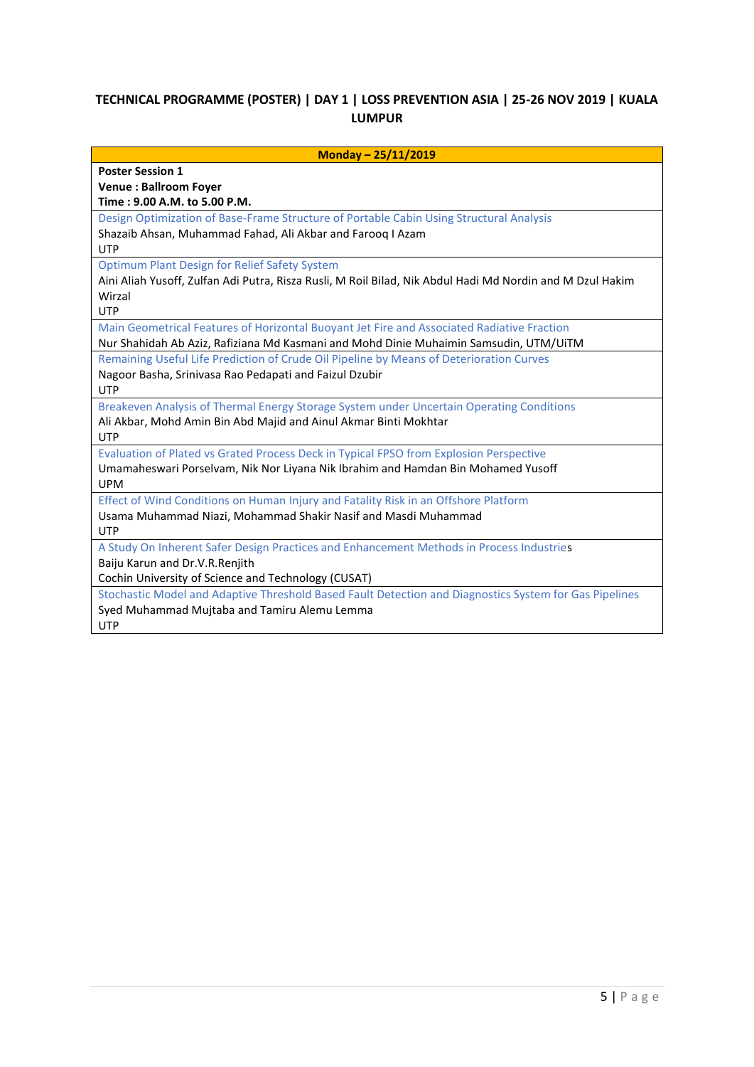#### **TECHNICAL PROGRAMME (POSTER) | DAY 1 | LOSS PREVENTION ASIA | 25-26 NOV 2019 | KUALA LUMPUR**

| Monday - 25/11/2019                                                                                       |
|-----------------------------------------------------------------------------------------------------------|
| <b>Poster Session 1</b>                                                                                   |
| <b>Venue: Ballroom Foyer</b>                                                                              |
| Time: 9.00 A.M. to 5.00 P.M.                                                                              |
| Design Optimization of Base-Frame Structure of Portable Cabin Using Structural Analysis                   |
| Shazaib Ahsan, Muhammad Fahad, Ali Akbar and Farooq I Azam                                                |
| <b>UTP</b>                                                                                                |
| <b>Optimum Plant Design for Relief Safety System</b>                                                      |
| Aini Aliah Yusoff, Zulfan Adi Putra, Risza Rusli, M Roil Bilad, Nik Abdul Hadi Md Nordin and M Dzul Hakim |
| Wirzal                                                                                                    |
| <b>UTP</b>                                                                                                |
| Main Geometrical Features of Horizontal Buoyant Jet Fire and Associated Radiative Fraction                |
| Nur Shahidah Ab Aziz, Rafiziana Md Kasmani and Mohd Dinie Muhaimin Samsudin, UTM/UiTM                     |
| Remaining Useful Life Prediction of Crude Oil Pipeline by Means of Deterioration Curves                   |
| Nagoor Basha, Srinivasa Rao Pedapati and Faizul Dzubir                                                    |
| <b>UTP</b>                                                                                                |
| Breakeven Analysis of Thermal Energy Storage System under Uncertain Operating Conditions                  |
| Ali Akbar, Mohd Amin Bin Abd Majid and Ainul Akmar Binti Mokhtar                                          |
| <b>UTP</b>                                                                                                |
| Evaluation of Plated vs Grated Process Deck in Typical FPSO from Explosion Perspective                    |
| Umamaheswari Porselvam, Nik Nor Liyana Nik Ibrahim and Hamdan Bin Mohamed Yusoff                          |
| <b>UPM</b>                                                                                                |
| Effect of Wind Conditions on Human Injury and Fatality Risk in an Offshore Platform                       |
| Usama Muhammad Niazi, Mohammad Shakir Nasif and Masdi Muhammad                                            |
| <b>UTP</b>                                                                                                |
| A Study On Inherent Safer Design Practices and Enhancement Methods in Process Industries                  |
| Baiju Karun and Dr.V.R.Renjith                                                                            |
| Cochin University of Science and Technology (CUSAT)                                                       |
| Stochastic Model and Adaptive Threshold Based Fault Detection and Diagnostics System for Gas Pipelines    |
| Syed Muhammad Mujtaba and Tamiru Alemu Lemma                                                              |
| <b>UTP</b>                                                                                                |
|                                                                                                           |